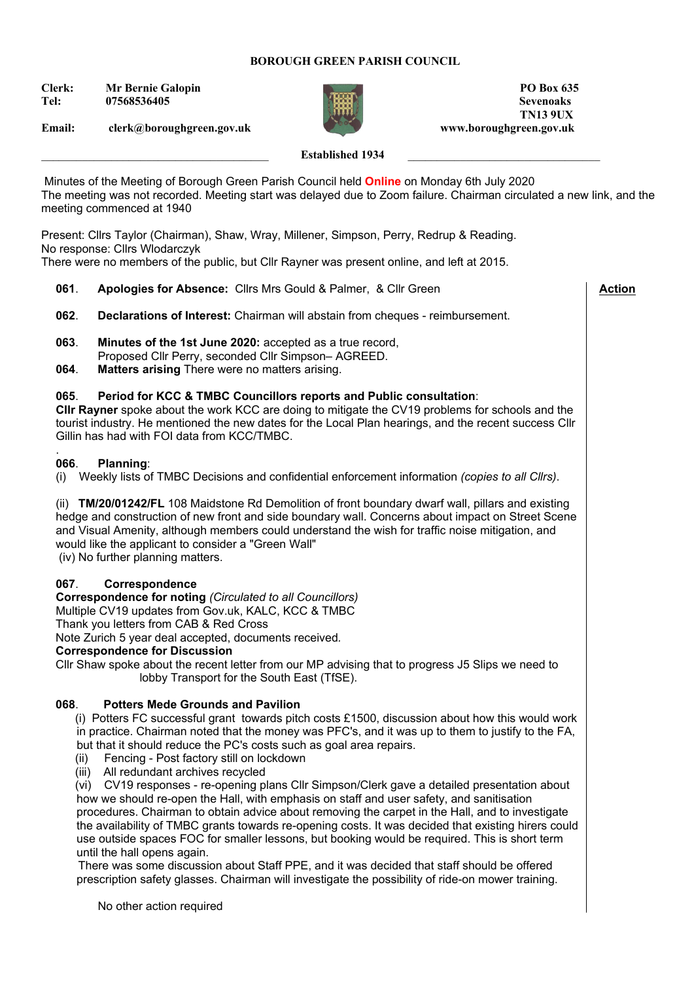### **BOROUGH GREEN PARISH COUNCIL**

**Clerk:** Mr Bernie Galopin **PO Box 635 Tel: 07568536405 Sevenoaks**

**Email: clerk@boroughgreen.gov.uk www.boroughgreen.gov.uk**



 **TN13 9UX**

 **Action**

# Established 1934

Minutes of the Meeting of Borough Green Parish Council held **Online** on Monday 6th July 2020 The meeting was not recorded. Meeting start was delayed due to Zoom failure. Chairman circulated a new link, and the meeting commenced at 1940

Present: Cllrs Taylor (Chairman), Shaw, Wray, Millener, Simpson, Perry, Redrup & Reading. No response: Cllrs Wlodarczyk

There were no members of the public, but Cllr Rayner was present online, and left at 2015.

- **061**. **Apologies for Absence:** Cllrs Mrs Gould & Palmer, & Cllr Green
- **062**. **Declarations of Interest:** Chairman will abstain from cheques reimbursement.
- **063**. **Minutes of the 1st June 2020:** accepted as a true record, Proposed Cllr Perry, seconded Cllr Simpson– AGREED.
- **064**. **Matters arising** There were no matters arising.

#### **065**. **Period for KCC & TMBC Councillors reports and Public consultation**:

**Cllr Rayner** spoke about the work KCC are doing to mitigate the CV19 problems for schools and the tourist industry. He mentioned the new dates for the Local Plan hearings, and the recent success Cllr Gillin has had with FOI data from KCC/TMBC.

#### . **066**. **Planning**:

(i) Weekly lists of TMBC Decisions and confidential enforcement information *(copies to all Cllrs)*.

(ii) **TM/20/01242/FL** 108 Maidstone Rd Demolition of front boundary dwarf wall, pillars and existing hedge and construction of new front and side boundary wall. Concerns about impact on Street Scene and Visual Amenity, although members could understand the wish for traffic noise mitigation, and would like the applicant to consider a "Green Wall"

(iv) No further planning matters.

# **067**. **Correspondence**

**Correspondence for noting** *(Circulated to all Councillors)*  Multiple CV19 updates from Gov.uk, KALC, KCC & TMBC

Thank you letters from CAB & Red Cross

Note Zurich 5 year deal accepted, documents received*.* 

# **Correspondence for Discussion**

Cllr Shaw spoke about the recent letter from our MP advising that to progress J5 Slips we need to lobby Transport for the South East (TfSE).

# **068**. **Potters Mede Grounds and Pavilion**

 (i) Potters FC successful grant towards pitch costs £1500, discussion about how this would work in practice. Chairman noted that the money was PFC's, and it was up to them to justify to the FA, but that it should reduce the PC's costs such as goal area repairs.

- (ii) Fencing Post factory still on lockdown
- (iii) All redundant archives recycled

 (vi) CV19 responses - re-opening plans Cllr Simpson/Clerk gave a detailed presentation about how we should re-open the Hall, with emphasis on staff and user safety, and sanitisation procedures. Chairman to obtain advice about removing the carpet in the Hall, and to investigate the availability of TMBC grants towards re-opening costs. It was decided that existing hirers could use outside spaces FOC for smaller lessons, but booking would be required. This is short term until the hall opens again.

 There was some discussion about Staff PPE, and it was decided that staff should be offered prescription safety glasses. Chairman will investigate the possibility of ride-on mower training.

No other action required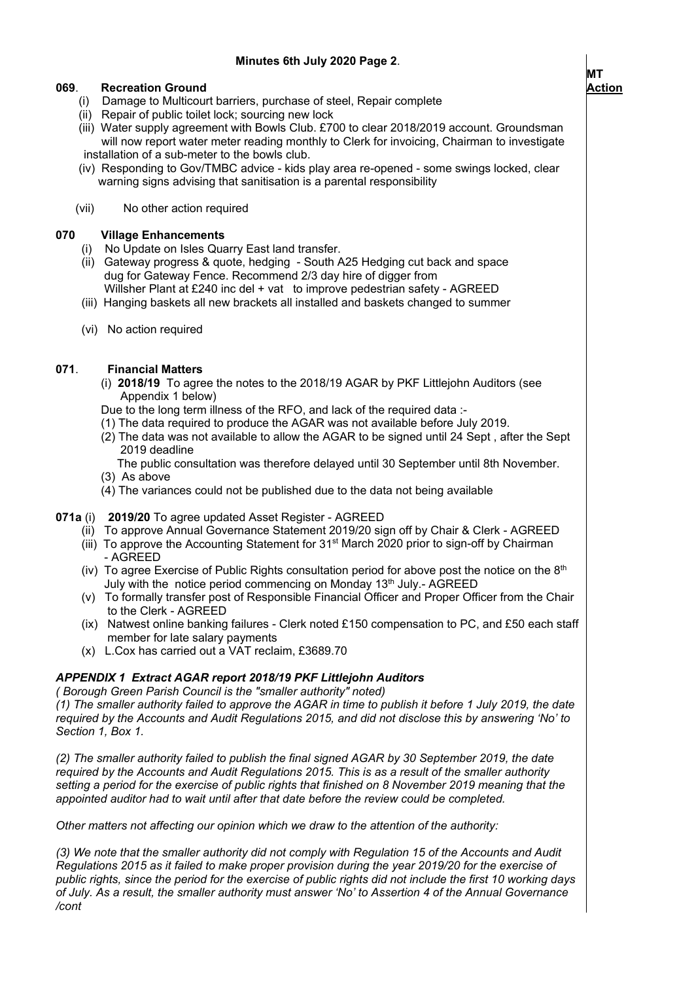# **069**. **Recreation Ground**

- (i) Damage to Multicourt barriers, purchase of steel, Repair complete
- (ii) Repair of public toilet lock; sourcing new lock

 (iii) Water supply agreement with Bowls Club. £700 to clear 2018/2019 account. Groundsman will now report water meter reading monthly to Clerk for invoicing, Chairman to investigate installation of a sub-meter to the bowls club.

 (iv) Responding to Gov/TMBC advice - kids play area re-opened - some swings locked, clear warning signs advising that sanitisation is a parental responsibility

# (vii) No other action required

# **070 Village Enhancements**

- No Update on Isles Quarry East land transfer.
- (ii) Gateway progress & quote, hedging South A25 Hedging cut back and space dug for Gateway Fence. Recommend 2/3 day hire of digger from Willsher Plant at £240 inc del + vat to improve pedestrian safety - AGREED
- (iii) Hanging baskets all new brackets all installed and baskets changed to summer
- (vi) No action required

# **071**. **Financial Matters**

- (i) **2018/19** To agree the notes to the 2018/19 AGAR by PKF Littlejohn Auditors (see Appendix 1 below)
- Due to the long term illness of the RFO, and lack of the required data :-
- (1) The data required to produce the AGAR was not available before July 2019.
- (2) The data was not available to allow the AGAR to be signed until 24 Sept , after the Sept 2019 deadline
- The public consultation was therefore delayed until 30 September until 8th November. (3) As above
- (4) The variances could not be published due to the data not being available

# **071a** (i) **2019/20** To agree updated Asset Register - AGREED

- (ii) To approve Annual Governance Statement 2019/20 sign off by Chair & Clerk AGREED
- (iii) To approve the Accounting Statement for 31<sup>st</sup> March 2020 prior to sign-off by Chairman - AGREED
- (iv) To agree Exercise of Public Rights consultation period for above post the notice on the  $8<sup>th</sup>$ July with the notice period commencing on Monday 13<sup>th</sup> July.- AGREED
- (v) To formally transfer post of Responsible Financial Officer and Proper Officer from the Chair to the Clerk - AGREED
- (ix) Natwest online banking failures Clerk noted £150 compensation to PC, and £50 each staff member for late salary payments
- (x) L.Cox has carried out a VAT reclaim, £3689.70

# *APPENDIX 1 Extract AGAR report 2018/19 PKF Littlejohn Auditors*

*( Borough Green Parish Council is the "smaller authority" noted)*

*(1) The smaller authority failed to approve the AGAR in time to publish it before 1 July 2019, the date required by the Accounts and Audit Regulations 2015, and did not disclose this by answering 'No' to Section 1, Box 1.* 

*(2) The smaller authority failed to publish the final signed AGAR by 30 September 2019, the date required by the Accounts and Audit Regulations 2015. This is as a result of the smaller authority setting a period for the exercise of public rights that finished on 8 November 2019 meaning that the appointed auditor had to wait until after that date before the review could be completed.* 

*Other matters not affecting our opinion which we draw to the attention of the authority:* 

*(3) We note that the smaller authority did not comply with Regulation 15 of the Accounts and Audit Regulations 2015 as it failed to make proper provision during the year 2019/20 for the exercise of public rights, since the period for the exercise of public rights did not include the first 10 working days of July. As a result, the smaller authority must answer 'No' to Assertion 4 of the Annual Governance /cont*



 $\overline{\phantom{a}}$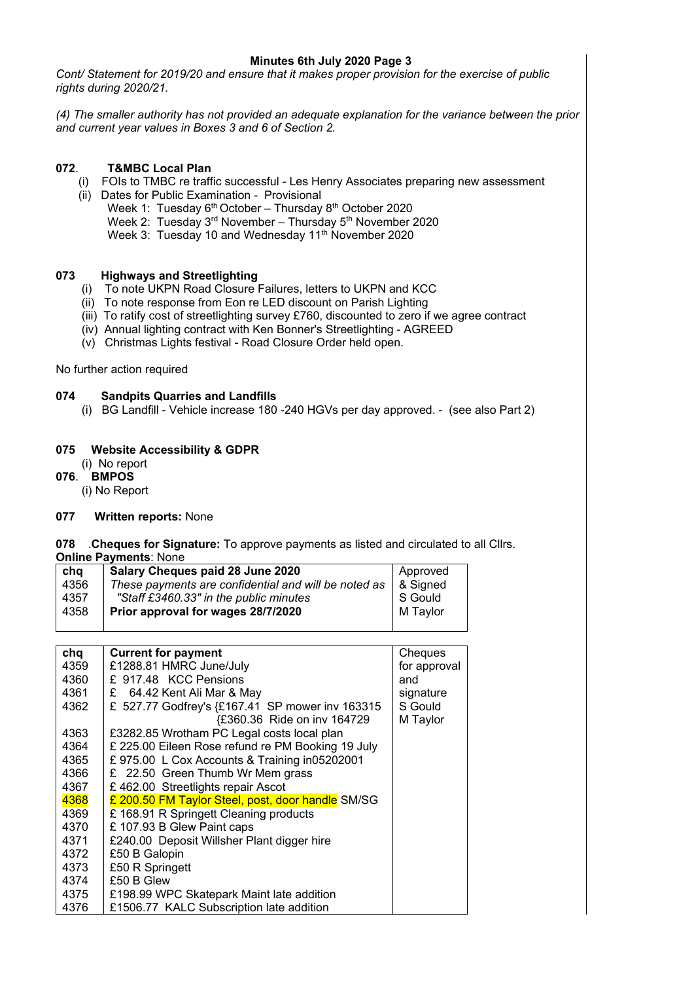### **Minutes 6th July 2020 Page 3**

*Cont/ Statement for 2019/20 and ensure that it makes proper provision for the exercise of public rights during 2020/21.* 

*(4) The smaller authority has not provided an adequate explanation for the variance between the prior and current year values in Boxes 3 and 6 of Section 2.*

# **072**. **T&MBC Local Plan**

- (i) FOIs to TMBC re traffic successful Les Henry Associates preparing new assessment
- (ii) Dates for Public Examination Provisional
	- Week 1: Tuesday 6<sup>th</sup> October Thursday 8<sup>th</sup> October 2020
	- Week 2: Tuesday 3<sup>rd</sup> November Thursday 5<sup>th</sup> November 2020
	- Week 3: Tuesday 10 and Wednesday 11<sup>th</sup> November 2020

# **073 Highways and Streetlighting**

- (i) To note UKPN Road Closure Failures, letters to UKPN and KCC
- (ii) To note response from Eon re LED discount on Parish Lighting
- (iii) To ratify cost of streetlighting survey £760, discounted to zero if we agree contract
- (iv) Annual lighting contract with Ken Bonner's Streetlighting AGREED
- (v) Christmas Lights festival Road Closure Order held open.

No further action required

# **074 Sandpits Quarries and Landfills**

(i) BG Landfill - Vehicle increase 180 -240 HGVs per day approved. - (see also Part 2)

# **075 Website Accessibility & GDPR**

- (i) No report
- **076**. **BMPOS**
	- (i) No Report

# **077 Written reports:** None

**078** .**Cheques for Signature:** To approve payments as listed and circulated to all Cllrs.

**Online Payments**: None

| chq  | Salary Cheques paid 28 June 2020                     | Approved |
|------|------------------------------------------------------|----------|
| 4356 | These payments are confidential and will be noted as | & Signed |
| 4357 | "Staff £3460.33" in the public minutes               | S Gould  |
| 4358 | Prior approval for wages 28/7/2020                   | M Taylor |
|      |                                                      |          |

| chq  | <b>Current for payment</b>                        | Cheques      |
|------|---------------------------------------------------|--------------|
| 4359 | £1288.81 HMRC June/July                           | for approval |
| 4360 | £ 917.48 KCC Pensions                             | and          |
| 4361 | £ 64.42 Kent Ali Mar & May                        | signature    |
| 4362 | £ 527.77 Godfrey's {£167.41 SP mower inv 163315   | S Gould      |
|      | {£360.36 Ride on inv 164729                       | M Taylor     |
| 4363 | £3282.85 Wrotham PC Legal costs local plan        |              |
| 4364 | £ 225.00 Eileen Rose refund re PM Booking 19 July |              |
| 4365 | £975.00 L Cox Accounts & Training in05202001      |              |
| 4366 | £ 22.50 Green Thumb Wr Mem grass                  |              |
| 4367 | £462.00 Streetlights repair Ascot                 |              |
| 4368 | £ 200.50 FM Taylor Steel, post, door handle SM/SG |              |
| 4369 | £ 168.91 R Springett Cleaning products            |              |
| 4370 | £ 107.93 B Glew Paint caps                        |              |
| 4371 | £240.00 Deposit Willsher Plant digger hire        |              |
| 4372 | £50 B Galopin                                     |              |
| 4373 | £50 R Springett                                   |              |
| 4374 | £50 B Glew                                        |              |
| 4375 | £198.99 WPC Skatepark Maint late addition         |              |
| 4376 | £1506.77 KALC Subscription late addition          |              |